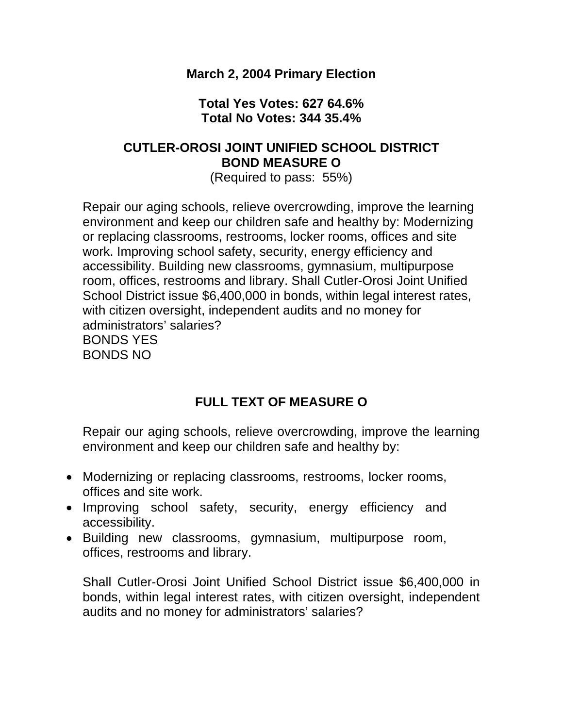#### **March 2, 2004 Primary Election**

#### **Total Yes Votes: 627 64.6% Total No Votes: 344 35.4%**

### **CUTLER-OROSI JOINT UNIFIED SCHOOL DISTRICT BOND MEASURE O**

(Required to pass: 55%)

Repair our aging schools, relieve overcrowding, improve the learning environment and keep our children safe and healthy by: Modernizing or replacing classrooms, restrooms, locker rooms, offices and site work. Improving school safety, security, energy efficiency and accessibility. Building new classrooms, gymnasium, multipurpose room, offices, restrooms and library. Shall Cutler-Orosi Joint Unified School District issue \$6,400,000 in bonds, within legal interest rates, with citizen oversight, independent audits and no money for administrators' salaries? BONDS YES BONDS NO

### **FULL TEXT OF MEASURE O**

Repair our aging schools, relieve overcrowding, improve the learning environment and keep our children safe and healthy by:

- Modernizing or replacing classrooms, restrooms, locker rooms, offices and site work.
- Improving school safety, security, energy efficiency and accessibility.
- Building new classrooms, gymnasium, multipurpose room, offices, restrooms and library.

Shall Cutler-Orosi Joint Unified School District issue \$6,400,000 in bonds, within legal interest rates, with citizen oversight, independent audits and no money for administrators' salaries?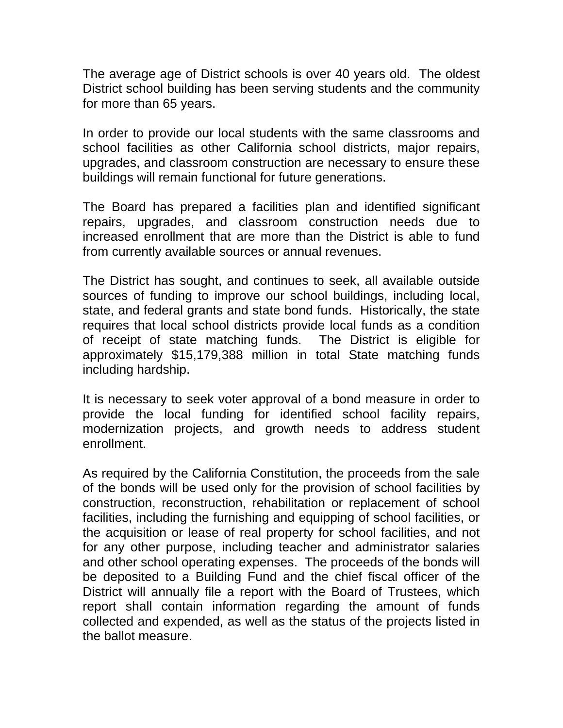The average age of District schools is over 40 years old. The oldest District school building has been serving students and the community for more than 65 years.

In order to provide our local students with the same classrooms and school facilities as other California school districts, major repairs, upgrades, and classroom construction are necessary to ensure these buildings will remain functional for future generations.

The Board has prepared a facilities plan and identified significant repairs, upgrades, and classroom construction needs due to increased enrollment that are more than the District is able to fund from currently available sources or annual revenues.

The District has sought, and continues to seek, all available outside sources of funding to improve our school buildings, including local, state, and federal grants and state bond funds. Historically, the state requires that local school districts provide local funds as a condition of receipt of state matching funds. The District is eligible for approximately \$15,179,388 million in total State matching funds including hardship.

It is necessary to seek voter approval of a bond measure in order to provide the local funding for identified school facility repairs, modernization projects, and growth needs to address student enrollment.

As required by the California Constitution, the proceeds from the sale of the bonds will be used only for the provision of school facilities by construction, reconstruction, rehabilitation or replacement of school facilities, including the furnishing and equipping of school facilities, or the acquisition or lease of real property for school facilities, and not for any other purpose, including teacher and administrator salaries and other school operating expenses. The proceeds of the bonds will be deposited to a Building Fund and the chief fiscal officer of the District will annually file a report with the Board of Trustees, which report shall contain information regarding the amount of funds collected and expended, as well as the status of the projects listed in the ballot measure.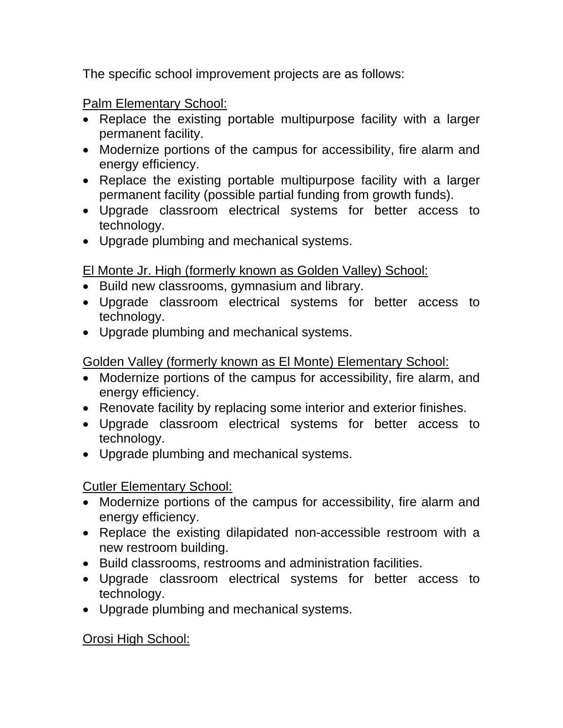The specific school improvement projects are as follows:

Palm Elementary School:

- Replace the existing portable multipurpose facility with a larger permanent facility.
- Modernize portions of the campus for accessibility, fire alarm and energy efficiency.
- Replace the existing portable multipurpose facility with a larger permanent facility (possible partial funding from growth funds).
- Upgrade classroom electrical systems for better access to technology.
- Upgrade plumbing and mechanical systems.

## El Monte Jr. High (formerly known as Golden Valley) School:

- Build new classrooms, gymnasium and library.
- Upgrade classroom electrical systems for better access to technology.
- Upgrade plumbing and mechanical systems.

## Golden Valley (formerly known as El Monte) Elementary School:

- Modernize portions of the campus for accessibility, fire alarm, and energy efficiency.
- Renovate facility by replacing some interior and exterior finishes.
- Upgrade classroom electrical systems for better access to technology.
- Upgrade plumbing and mechanical systems.

# Cutler Elementary School:

- Modernize portions of the campus for accessibility, fire alarm and energy efficiency.
- Replace the existing dilapidated non-accessible restroom with a new restroom building.
- Build classrooms, restrooms and administration facilities.
- Upgrade classroom electrical systems for better access to technology.
- Upgrade plumbing and mechanical systems.

Orosi High School: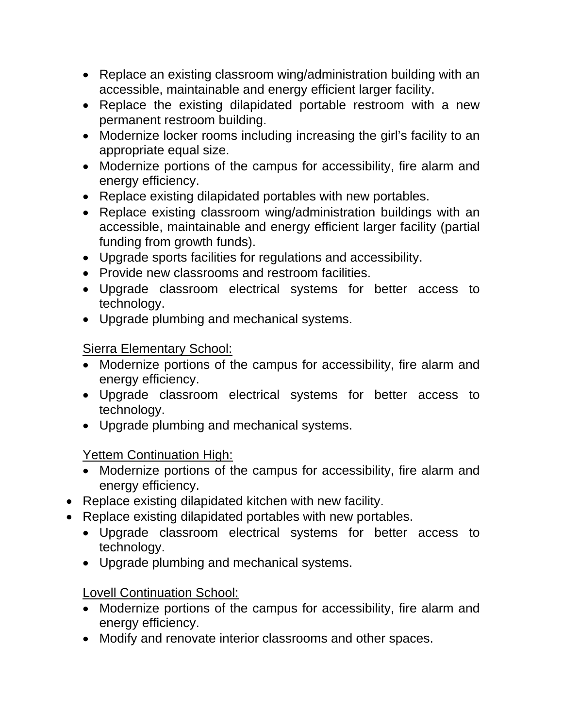- Replace an existing classroom wing/administration building with an accessible, maintainable and energy efficient larger facility.
- Replace the existing dilapidated portable restroom with a new permanent restroom building.
- Modernize locker rooms including increasing the girl's facility to an appropriate equal size.
- Modernize portions of the campus for accessibility, fire alarm and energy efficiency.
- Replace existing dilapidated portables with new portables.
- Replace existing classroom wing/administration buildings with an accessible, maintainable and energy efficient larger facility (partial funding from growth funds).
- Upgrade sports facilities for regulations and accessibility.
- Provide new classrooms and restroom facilities.
- Upgrade classroom electrical systems for better access to technology.
- Upgrade plumbing and mechanical systems.

# Sierra Elementary School:

- Modernize portions of the campus for accessibility, fire alarm and energy efficiency.
- Upgrade classroom electrical systems for better access to technology.
- Upgrade plumbing and mechanical systems.

# Yettem Continuation High:

- Modernize portions of the campus for accessibility, fire alarm and energy efficiency.
- Replace existing dilapidated kitchen with new facility.
- Replace existing dilapidated portables with new portables.
	- Upgrade classroom electrical systems for better access to technology.
	- Upgrade plumbing and mechanical systems.

# Lovell Continuation School:

- Modernize portions of the campus for accessibility, fire alarm and energy efficiency.
- Modify and renovate interior classrooms and other spaces.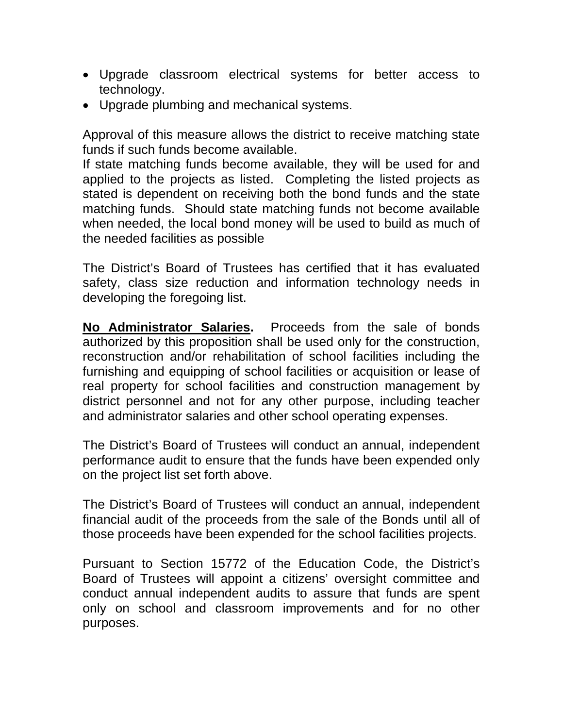- Upgrade classroom electrical systems for better access to technology.
- Upgrade plumbing and mechanical systems.

Approval of this measure allows the district to receive matching state funds if such funds become available.

If state matching funds become available, they will be used for and applied to the projects as listed. Completing the listed projects as stated is dependent on receiving both the bond funds and the state matching funds. Should state matching funds not become available when needed, the local bond money will be used to build as much of the needed facilities as possible

The District's Board of Trustees has certified that it has evaluated safety, class size reduction and information technology needs in developing the foregoing list.

**No Administrator Salaries.** Proceeds from the sale of bonds authorized by this proposition shall be used only for the construction, reconstruction and/or rehabilitation of school facilities including the furnishing and equipping of school facilities or acquisition or lease of real property for school facilities and construction management by district personnel and not for any other purpose, including teacher and administrator salaries and other school operating expenses.

The District's Board of Trustees will conduct an annual, independent performance audit to ensure that the funds have been expended only on the project list set forth above.

The District's Board of Trustees will conduct an annual, independent financial audit of the proceeds from the sale of the Bonds until all of those proceeds have been expended for the school facilities projects.

Pursuant to Section 15772 of the Education Code, the District's Board of Trustees will appoint a citizens' oversight committee and conduct annual independent audits to assure that funds are spent only on school and classroom improvements and for no other purposes.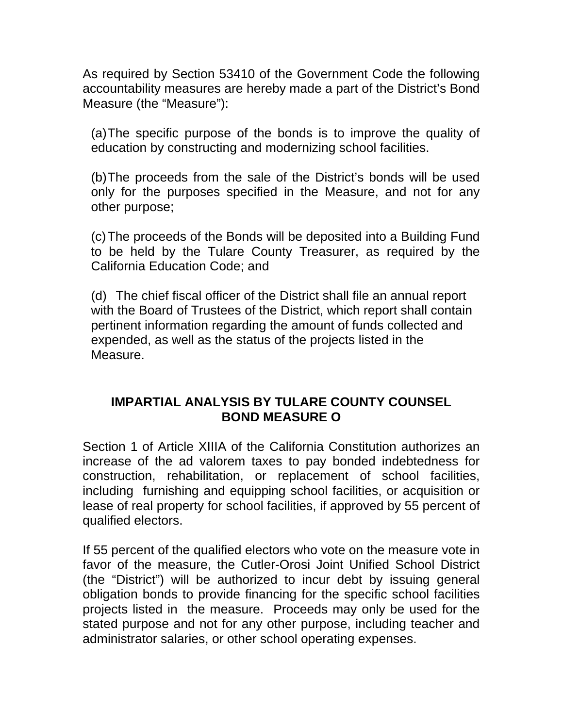As required by Section 53410 of the Government Code the following accountability measures are hereby made a part of the District's Bond Measure (the "Measure"):

(a) The specific purpose of the bonds is to improve the quality of education by constructing and modernizing school facilities.

(b)The proceeds from the sale of the District's bonds will be used only for the purposes specified in the Measure, and not for any other purpose;

(c)The proceeds of the Bonds will be deposited into a Building Fund to be held by the Tulare County Treasurer, as required by the California Education Code; and

(d) The chief fiscal officer of the District shall file an annual report with the Board of Trustees of the District, which report shall contain pertinent information regarding the amount of funds collected and expended, as well as the status of the projects listed in the Measure.

#### **IMPARTIAL ANALYSIS BY TULARE COUNTY COUNSEL BOND MEASURE O**

Section 1 of Article XIIIA of the California Constitution authorizes an increase of the ad valorem taxes to pay bonded indebtedness for construction, rehabilitation, or replacement of school facilities, including furnishing and equipping school facilities, or acquisition or lease of real property for school facilities, if approved by 55 percent of qualified electors.

If 55 percent of the qualified electors who vote on the measure vote in favor of the measure, the Cutler-Orosi Joint Unified School District (the "District") will be authorized to incur debt by issuing general obligation bonds to provide financing for the specific school facilities projects listed in the measure. Proceeds may only be used for the stated purpose and not for any other purpose, including teacher and administrator salaries, or other school operating expenses.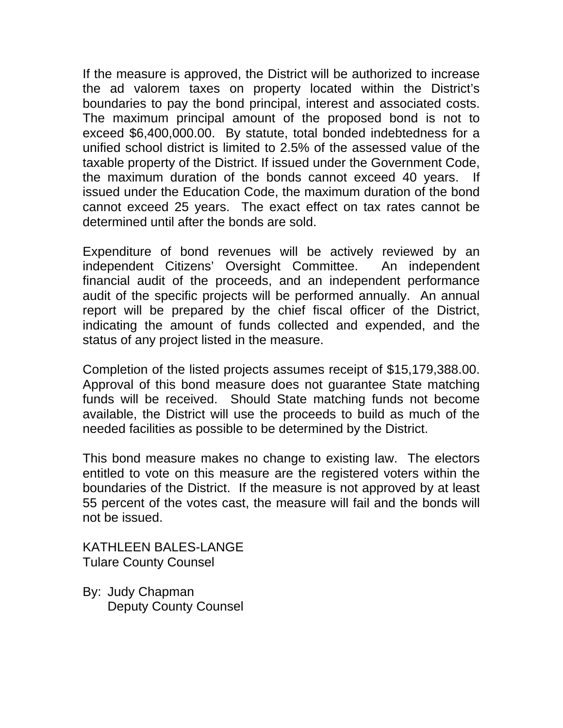If the measure is approved, the District will be authorized to increase the ad valorem taxes on property located within the District's boundaries to pay the bond principal, interest and associated costs. The maximum principal amount of the proposed bond is not to exceed \$6,400,000.00. By statute, total bonded indebtedness for a unified school district is limited to 2.5% of the assessed value of the taxable property of the District. If issued under the Government Code, the maximum duration of the bonds cannot exceed 40 years. issued under the Education Code, the maximum duration of the bond cannot exceed 25 years. The exact effect on tax rates cannot be determined until after the bonds are sold.

Expenditure of bond revenues will be actively reviewed by an independent Citizens' Oversight Committee. An independent financial audit of the proceeds, and an independent performance audit of the specific projects will be performed annually. An annual report will be prepared by the chief fiscal officer of the District, indicating the amount of funds collected and expended, and the status of any project listed in the measure.

Completion of the listed projects assumes receipt of \$15,179,388.00. Approval of this bond measure does not guarantee State matching funds will be received. Should State matching funds not become available, the District will use the proceeds to build as much of the needed facilities as possible to be determined by the District.

This bond measure makes no change to existing law. The electors entitled to vote on this measure are the registered voters within the boundaries of the District. If the measure is not approved by at least 55 percent of the votes cast, the measure will fail and the bonds will not be issued.

KATHLEEN BALES-LANGE Tulare County Counsel

By: Judy Chapman Deputy County Counsel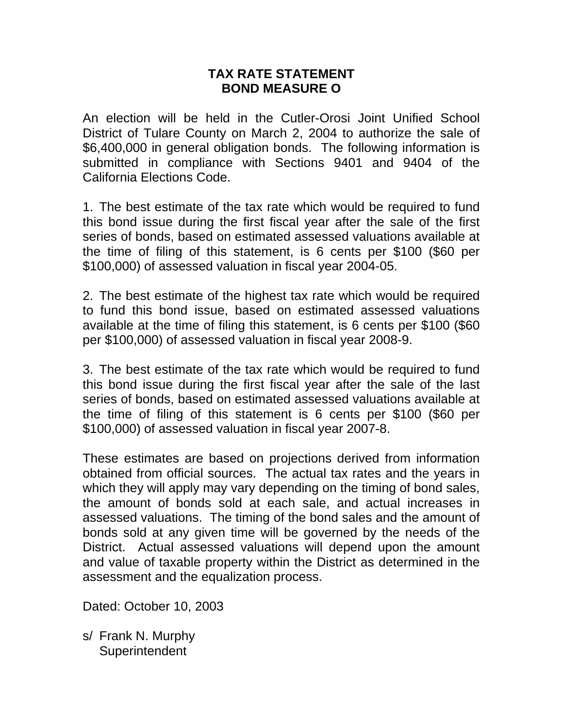#### **TAX RATE STATEMENT BOND MEASURE O**

An election will be held in the Cutler-Orosi Joint Unified School District of Tulare County on March 2, 2004 to authorize the sale of \$6,400,000 in general obligation bonds. The following information is submitted in compliance with Sections 9401 and 9404 of the California Elections Code.

1. The best estimate of the tax rate which would be required to fund this bond issue during the first fiscal year after the sale of the first series of bonds, based on estimated assessed valuations available at the time of filing of this statement, is 6 cents per \$100 (\$60 per \$100,000) of assessed valuation in fiscal year 2004-05.

2. The best estimate of the highest tax rate which would be required to fund this bond issue, based on estimated assessed valuations available at the time of filing this statement, is 6 cents per \$100 (\$60 per \$100,000) of assessed valuation in fiscal year 2008-9.

3. The best estimate of the tax rate which would be required to fund this bond issue during the first fiscal year after the sale of the last series of bonds, based on estimated assessed valuations available at the time of filing of this statement is 6 cents per \$100 (\$60 per \$100,000) of assessed valuation in fiscal year 2007-8.

These estimates are based on projections derived from information obtained from official sources. The actual tax rates and the years in which they will apply may vary depending on the timing of bond sales, the amount of bonds sold at each sale, and actual increases in assessed valuations. The timing of the bond sales and the amount of bonds sold at any given time will be governed by the needs of the District. Actual assessed valuations will depend upon the amount and value of taxable property within the District as determined in the assessment and the equalization process.

Dated: October 10, 2003

s/ Frank N. Murphy **Superintendent**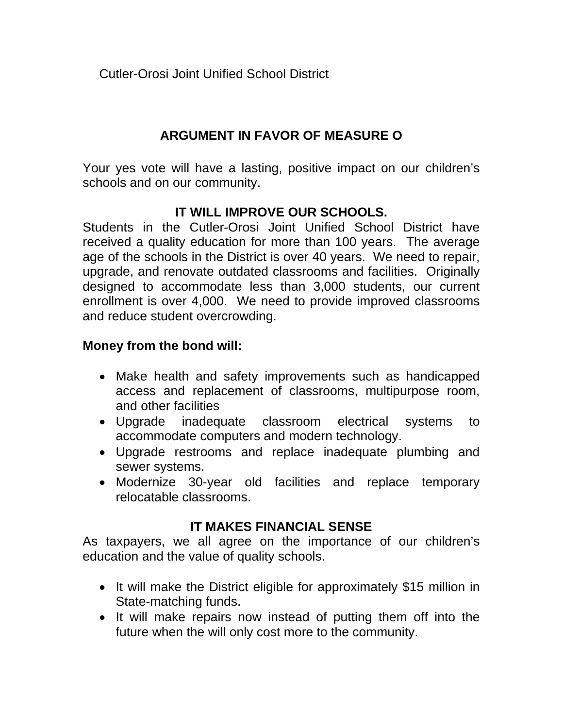Cutler-Orosi Joint Unified School District

## **ARGUMENT IN FAVOR OF MEASURE O**

Your yes vote will have a lasting, positive impact on our children's schools and on our community.

### **IT WILL IMPROVE OUR SCHOOLS.**

Students in the Cutler-Orosi Joint Unified School District have received a quality education for more than 100 years. The average age of the schools in the District is over 40 years. We need to repair, upgrade, and renovate outdated classrooms and facilities. Originally designed to accommodate less than 3,000 students, our current enrollment is over 4,000. We need to provide improved classrooms and reduce student overcrowding.

#### **Money from the bond will:**

- Make health and safety improvements such as handicapped access and replacement of classrooms, multipurpose room, and other facilities
- Upgrade inadequate classroom electrical systems to accommodate computers and modern technology.
- Upgrade restrooms and replace inadequate plumbing and sewer systems.
- Modernize 30-year old facilities and replace temporary relocatable classrooms.

#### **IT MAKES FINANCIAL SENSE**

As taxpayers, we all agree on the importance of our children's education and the value of quality schools.

- It will make the District eligible for approximately \$15 million in State-matching funds.
- It will make repairs now instead of putting them off into the future when the will only cost more to the community.